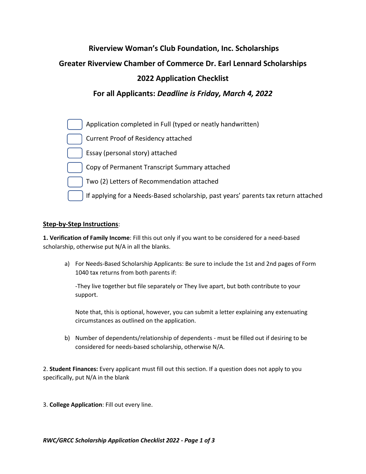# **Riverview Woman's Club Foundation, Inc. Scholarships**

**Greater Riverview Chamber of Commerce Dr. Earl Lennard Scholarships**

# **2022 Application Checklist**

## **For all Applicants:** *Deadline is Friday, March 4, 2022*



### **Step-by-Step Instructions**:

**1. Verification of Family Income**: Fill this out only if you want to be considered for a need-based scholarship, otherwise put N/A in all the blanks.

a) For Needs-Based Scholarship Applicants: Be sure to include the 1st and 2nd pages of Form 1040 tax returns from both parents if:

-They live together but file separately or They live apart, but both contribute to your support.

Note that, this is optional, however, you can submit a letter explaining any extenuating circumstances as outlined on the application.

b) Number of dependents/relationship of dependents - must be filled out if desiring to be considered for needs-based scholarship, otherwise N/A.

2. **Student Finances:** Every applicant must fill out this section. If a question does not apply to you specifically, put N/A in the blank

3. **College Application**: Fill out every line.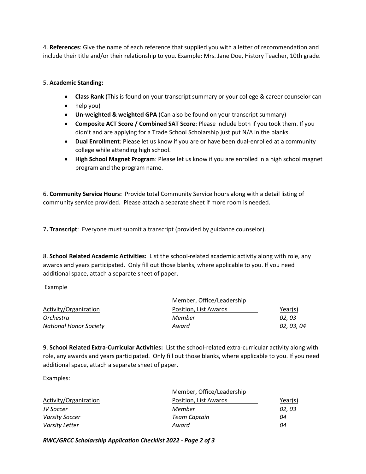4. **References**: Give the name of each reference that supplied you with a letter of recommendation and include their title and/or their relationship to you. Example: Mrs. Jane Doe, History Teacher, 10th grade.

### 5. **Academic Standing:**

- **Class Rank** (This is found on your transcript summary or your college & career counselor can
- help you)
- **Un-weighted & weighted GPA** (Can also be found on your transcript summary)
- **Composite ACT Score / Combined SAT Score**: Please include both if you took them. If you didn't and are applying for a Trade School Scholarship just put N/A in the blanks.
- **Dual Enrollment**: Please let us know if you are or have been dual-enrolled at a community college while attending high school.
- **High School Magnet Program**: Please let us know if you are enrolled in a high school magnet program and the program name.

6. **Community Service Hours:** Provide total Community Service hours along with a detail listing of community service provided. Please attach a separate sheet if more room is needed.

7**. Transcript**: Everyone must submit a transcript (provided by guidance counselor).

8. **School Related Academic Activities:** List the school-related academic activity along with role, any awards and years participated. Only fill out those blanks, where applicable to you. If you need additional space, attach a separate sheet of paper.

Example

| Activity/Organization         | Member, Office/Leadership |            |  |
|-------------------------------|---------------------------|------------|--|
|                               | Position, List Awards     | Year(s)    |  |
| Orchestra                     | Member                    | 02.03      |  |
| <b>National Honor Society</b> | Award                     | 02, 03, 04 |  |

9. **School Related Extra-Curricular Activities:** List the school-related extra-curricular activity along with role, any awards and years participated. Only fill out those blanks, where applicable to you. If you need additional space, attach a separate sheet of paper.

Examples:

| Activity/Organization | Member, Office/Leadership |         |
|-----------------------|---------------------------|---------|
|                       | Position, List Awards     | Year(s) |
| JV Soccer             | Member                    | 02, 03  |
| <b>Varsity Soccer</b> | <b>Team Captain</b>       | 04      |
| Varsity Letter        | Award                     | 04      |

*RWC/GRCC Scholarship Application Checklist 2022 - Page 2 of 3*